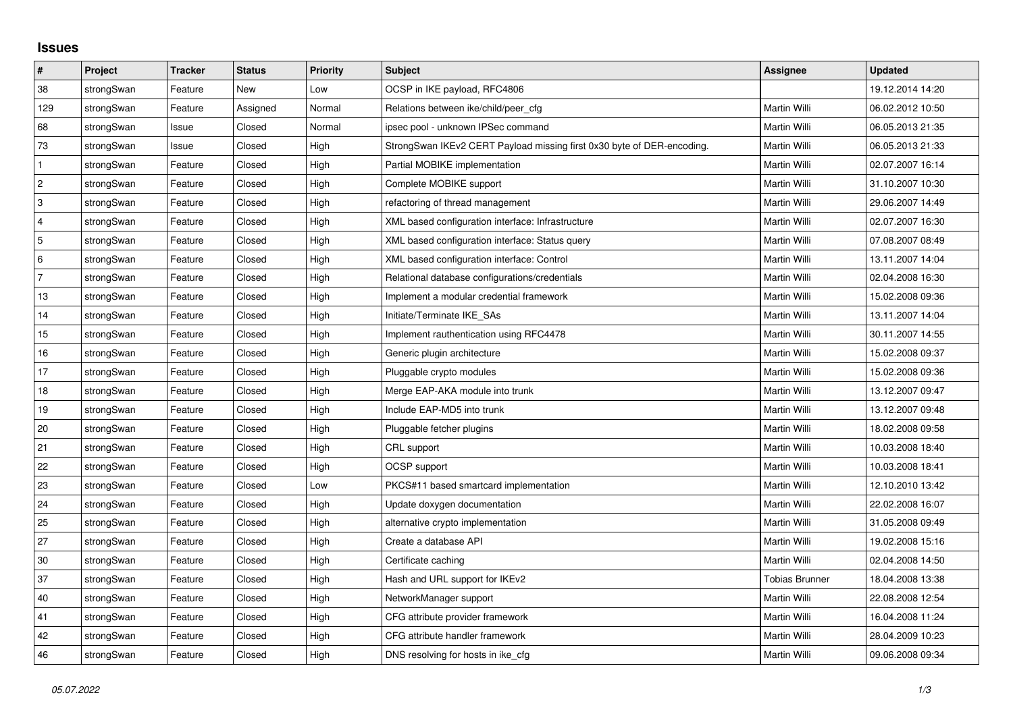## **Issues**

| #              | Project    | <b>Tracker</b> | <b>Status</b> | <b>Priority</b> | <b>Subject</b>                                                         | <b>Assignee</b>       | <b>Updated</b>   |
|----------------|------------|----------------|---------------|-----------------|------------------------------------------------------------------------|-----------------------|------------------|
| 38             | strongSwan | Feature        | <b>New</b>    | Low             | OCSP in IKE payload, RFC4806                                           |                       | 19.12.2014 14:20 |
| 129            | strongSwan | Feature        | Assigned      | Normal          | Relations between ike/child/peer cfg                                   | Martin Willi          | 06.02.2012 10:50 |
| 68             | strongSwan | Issue          | Closed        | Normal          | ipsec pool - unknown IPSec command                                     | Martin Willi          | 06.05.2013 21:35 |
| 73             | strongSwan | Issue          | Closed        | High            | StrongSwan IKEv2 CERT Payload missing first 0x30 byte of DER-encoding. | Martin Willi          | 06.05.2013 21:33 |
| $\mathbf{1}$   | strongSwan | Feature        | Closed        | High            | Partial MOBIKE implementation                                          | Martin Willi          | 02.07.2007 16:14 |
| $\overline{c}$ | strongSwan | Feature        | Closed        | High            | Complete MOBIKE support                                                | Martin Willi          | 31.10.2007 10:30 |
| 3              | strongSwan | Feature        | Closed        | High            | refactoring of thread management                                       | Martin Willi          | 29.06.2007 14:49 |
| $\overline{4}$ | strongSwan | Feature        | Closed        | High            | XML based configuration interface: Infrastructure                      | Martin Willi          | 02.07.2007 16:30 |
| 5              | strongSwan | Feature        | Closed        | High            | XML based configuration interface: Status query                        | Martin Willi          | 07.08.2007 08:49 |
| 6              | strongSwan | Feature        | Closed        | High            | XML based configuration interface: Control                             | Martin Willi          | 13.11.2007 14:04 |
| $\overline{7}$ | strongSwan | Feature        | Closed        | High            | Relational database configurations/credentials                         | Martin Willi          | 02.04.2008 16:30 |
| 13             | strongSwan | Feature        | Closed        | High            | Implement a modular credential framework                               | Martin Willi          | 15.02.2008 09:36 |
| 14             | strongSwan | Feature        | Closed        | High            | Initiate/Terminate IKE_SAs                                             | Martin Willi          | 13.11.2007 14:04 |
| 15             | strongSwan | Feature        | Closed        | High            | Implement rauthentication using RFC4478                                | Martin Willi          | 30.11.2007 14:55 |
| 16             | strongSwan | Feature        | Closed        | High            | Generic plugin architecture                                            | Martin Willi          | 15.02.2008 09:37 |
| 17             | strongSwan | Feature        | Closed        | High            | Pluggable crypto modules                                               | Martin Willi          | 15.02.2008 09:36 |
| 18             | strongSwan | Feature        | Closed        | High            | Merge EAP-AKA module into trunk                                        | Martin Willi          | 13.12.2007 09:47 |
| 19             | strongSwan | Feature        | Closed        | High            | Include EAP-MD5 into trunk                                             | Martin Willi          | 13.12.2007 09:48 |
| 20             | strongSwan | Feature        | Closed        | High            | Pluggable fetcher plugins                                              | Martin Willi          | 18.02.2008 09:58 |
| 21             | strongSwan | Feature        | Closed        | High            | CRL support                                                            | Martin Willi          | 10.03.2008 18:40 |
| 22             | strongSwan | Feature        | Closed        | High            | OCSP support                                                           | Martin Willi          | 10.03.2008 18:41 |
| 23             | strongSwan | Feature        | Closed        | Low             | PKCS#11 based smartcard implementation                                 | Martin Willi          | 12.10.2010 13:42 |
| 24             | strongSwan | Feature        | Closed        | High            | Update doxygen documentation                                           | Martin Willi          | 22.02.2008 16:07 |
| 25             | strongSwan | Feature        | Closed        | High            | alternative crypto implementation                                      | Martin Willi          | 31.05.2008 09:49 |
| 27             | strongSwan | Feature        | Closed        | High            | Create a database API                                                  | Martin Willi          | 19.02.2008 15:16 |
| 30             | strongSwan | Feature        | Closed        | High            | Certificate caching                                                    | Martin Willi          | 02.04.2008 14:50 |
| 37             | strongSwan | Feature        | Closed        | High            | Hash and URL support for IKEv2                                         | <b>Tobias Brunner</b> | 18.04.2008 13:38 |
| 40             | strongSwan | Feature        | Closed        | High            | NetworkManager support                                                 | Martin Willi          | 22.08.2008 12:54 |
| 41             | strongSwan | Feature        | Closed        | High            | CFG attribute provider framework                                       | Martin Willi          | 16.04.2008 11:24 |
| 42             | strongSwan | Feature        | Closed        | High            | CFG attribute handler framework                                        | Martin Willi          | 28.04.2009 10:23 |
| 46             | strongSwan | Feature        | Closed        | High            | DNS resolving for hosts in ike_cfg                                     | Martin Willi          | 09.06.2008 09:34 |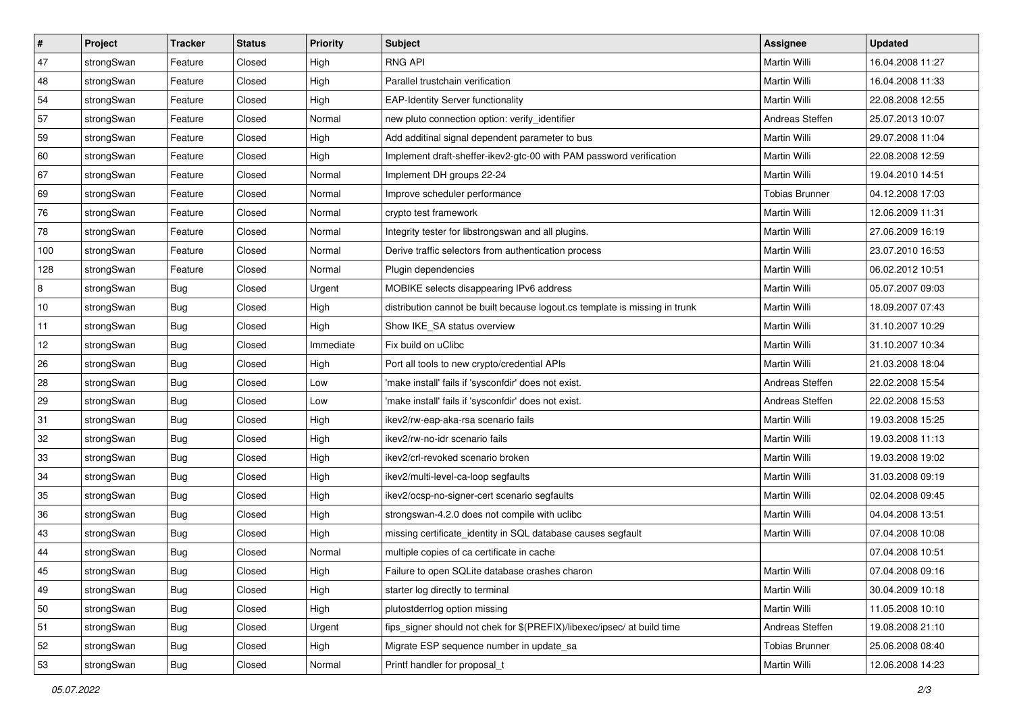| $\vert$ # | Project    | <b>Tracker</b> | <b>Status</b> | <b>Priority</b> | <b>Subject</b>                                                              | Assignee              | <b>Updated</b>   |
|-----------|------------|----------------|---------------|-----------------|-----------------------------------------------------------------------------|-----------------------|------------------|
| 47        | strongSwan | Feature        | Closed        | High            | <b>RNG API</b>                                                              | Martin Willi          | 16.04.2008 11:27 |
| 48        | strongSwan | Feature        | Closed        | High            | Parallel trustchain verification                                            | <b>Martin Willi</b>   | 16.04.2008 11:33 |
| 54        | strongSwan | Feature        | Closed        | High            | <b>EAP-Identity Server functionality</b>                                    | Martin Willi          | 22.08.2008 12:55 |
| 57        | strongSwan | Feature        | Closed        | Normal          | new pluto connection option: verify identifier                              | Andreas Steffen       | 25.07.2013 10:07 |
| 59        | strongSwan | Feature        | Closed        | High            | Add additinal signal dependent parameter to bus                             | Martin Willi          | 29.07.2008 11:04 |
| 60        | strongSwan | Feature        | Closed        | High            | Implement draft-sheffer-ikev2-gtc-00 with PAM password verification         | Martin Willi          | 22.08.2008 12:59 |
| 67        | strongSwan | Feature        | Closed        | Normal          | Implement DH groups 22-24                                                   | Martin Willi          | 19.04.2010 14:51 |
| 69        | strongSwan | Feature        | Closed        | Normal          | Improve scheduler performance                                               | <b>Tobias Brunner</b> | 04.12.2008 17:03 |
| 76        | strongSwan | Feature        | Closed        | Normal          | crypto test framework                                                       | Martin Willi          | 12.06.2009 11:31 |
| 78        | strongSwan | Feature        | Closed        | Normal          | Integrity tester for libstrongswan and all plugins.                         | Martin Willi          | 27.06.2009 16:19 |
| 100       | strongSwan | Feature        | Closed        | Normal          | Derive traffic selectors from authentication process                        | Martin Willi          | 23.07.2010 16:53 |
| 128       | strongSwan | Feature        | Closed        | Normal          | Plugin dependencies                                                         | Martin Willi          | 06.02.2012 10:51 |
| 8         | strongSwan | Bug            | Closed        | Urgent          | MOBIKE selects disappearing IPv6 address                                    | <b>Martin Willi</b>   | 05.07.2007 09:03 |
| 10        | strongSwan | <b>Bug</b>     | Closed        | High            | distribution cannot be built because logout.cs template is missing in trunk | Martin Willi          | 18.09.2007 07:43 |
| 11        | strongSwan | Bug            | Closed        | High            | Show IKE_SA status overview                                                 | <b>Martin Willi</b>   | 31.10.2007 10:29 |
| 12        | strongSwan | <b>Bug</b>     | Closed        | Immediate       | Fix build on uClibc                                                         | Martin Willi          | 31.10.2007 10:34 |
| 26        | strongSwan | <b>Bug</b>     | Closed        | High            | Port all tools to new crypto/credential APIs                                | <b>Martin Willi</b>   | 21.03.2008 18:04 |
| 28        | strongSwan | Bug            | Closed        | Low             | 'make install' fails if 'sysconfdir' does not exist.                        | Andreas Steffen       | 22.02.2008 15:54 |
| 29        | strongSwan | Bug            | Closed        | Low             | 'make install' fails if 'sysconfdir' does not exist.                        | Andreas Steffen       | 22.02.2008 15:53 |
| 31        | strongSwan | Bug            | Closed        | High            | ikev2/rw-eap-aka-rsa scenario fails                                         | <b>Martin Willi</b>   | 19.03.2008 15:25 |
| 32        | strongSwan | <b>Bug</b>     | Closed        | High            | ikev2/rw-no-idr scenario fails                                              | Martin Willi          | 19.03.2008 11:13 |
| 33        | strongSwan | <b>Bug</b>     | Closed        | High            | ikev2/crl-revoked scenario broken                                           | Martin Willi          | 19.03.2008 19:02 |
| 34        | strongSwan | Bug            | Closed        | High            | ikev2/multi-level-ca-loop segfaults                                         | Martin Willi          | 31.03.2008 09:19 |
| 35        | strongSwan | Bug            | Closed        | High            | ikev2/ocsp-no-signer-cert scenario segfaults                                | Martin Willi          | 02.04.2008 09:45 |
| 36        | strongSwan | <b>Bug</b>     | Closed        | High            | strongswan-4.2.0 does not compile with uclibc                               | Martin Willi          | 04.04.2008 13:51 |
| 43        | strongSwan | <b>Bug</b>     | Closed        | High            | missing certificate_identity in SQL database causes segfault                | Martin Willi          | 07.04.2008 10:08 |
| 44        | strongSwan | Bug            | Closed        | Normal          | multiple copies of ca certificate in cache                                  |                       | 07.04.2008 10:51 |
| 45        | strongSwan | Bug            | Closed        | High            | Failure to open SQLite database crashes charon                              | Martin Willi          | 07.04.2008 09:16 |
| 49        | strongSwan | Bug            | Closed        | High            | starter log directly to terminal                                            | Martin Willi          | 30.04.2009 10:18 |
| 50        | strongSwan | Bug            | Closed        | High            | plutostderrlog option missing                                               | Martin Willi          | 11.05.2008 10:10 |
| 51        | strongSwan | <b>Bug</b>     | Closed        | Urgent          | fips_signer should not chek for \$(PREFIX)/libexec/ipsec/ at build time     | Andreas Steffen       | 19.08.2008 21:10 |
| 52        | strongSwan | Bug            | Closed        | High            | Migrate ESP sequence number in update_sa                                    | <b>Tobias Brunner</b> | 25.06.2008 08:40 |
| 53        | strongSwan | <b>Bug</b>     | Closed        | Normal          | Printf handler for proposal_t                                               | Martin Willi          | 12.06.2008 14:23 |